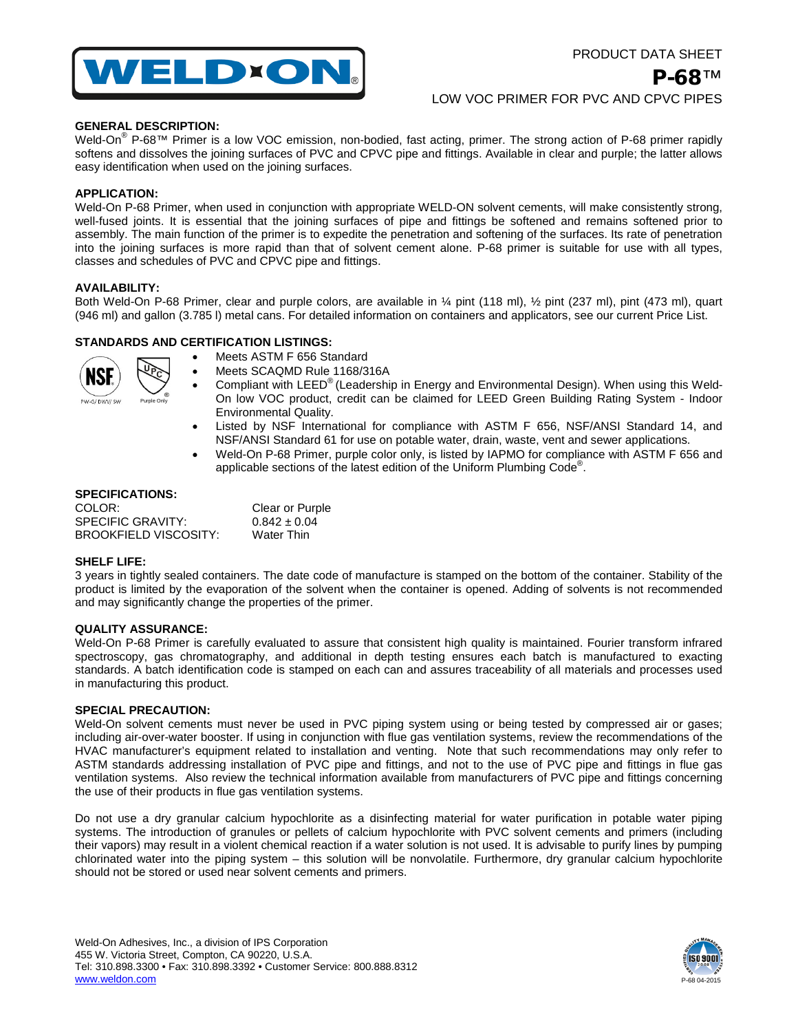

# **GENERAL DESCRIPTION:**

Weld-On<sup>®</sup> P-68™ Primer is a low VOC emission, non-bodied, fast acting, primer. The strong action of P-68 primer rapidly softens and dissolves the joining surfaces of PVC and CPVC pipe and fittings. Available in clear and purple; the latter allows easy identification when used on the joining surfaces.

## **APPLICATION:**

Weld-On P-68 Primer, when used in conjunction with appropriate WELD-ON solvent cements, will make consistently strong, well-fused joints. It is essential that the joining surfaces of pipe and fittings be softened and remains softened prior to assembly. The main function of the primer is to expedite the penetration and softening of the surfaces. Its rate of penetration into the joining surfaces is more rapid than that of solvent cement alone. P-68 primer is suitable for use with all types, classes and schedules of PVC and CPVC pipe and fittings.

### **AVAILABILITY:**

Both Weld-On P-68 Primer, clear and purple colors, are available in ¼ pint (118 ml), ½ pint (237 ml), pint (473 ml), quart (946 ml) and gallon (3.785 l) metal cans. For detailed information on containers and applicators, see our current Price List.

## **STANDARDS AND CERTIFICATION LISTINGS:**



- Meets ASTM F 656 Standard
- Meets SCAQMD Rule 1168/316A
- Compliant with LEED® (Leadership in Energy and Environmental Design). When using this Weld-On low VOC product, credit can be claimed for LEED Green Building Rating System - Indoor Environmental Quality.
- Listed by NSF International for compliance with ASTM F 656, NSF/ANSI Standard 14, and NSF/ANSI Standard 61 for use on potable water, drain, waste, vent and sewer applications.
- Weld-On P-68 Primer, purple color only, is listed by IAPMO for compliance with ASTM F 656 and applicable sections of the latest edition of the Uniform Plumbing Code® .

#### **SPECIFICATIONS:**

| COLOR:                | <b>Clear or Purple</b> |
|-----------------------|------------------------|
| SPECIFIC GRAVITY:     | $0.842 \pm 0.04$       |
| BROOKFIELD VISCOSITY: | Water Thin             |

#### **SHELF LIFE:**

3 years in tightly sealed containers. The date code of manufacture is stamped on the bottom of the container. Stability of the product is limited by the evaporation of the solvent when the container is opened. Adding of solvents is not recommended and may significantly change the properties of the primer.

### **QUALITY ASSURANCE:**

Weld-On P-68 Primer is carefully evaluated to assure that consistent high quality is maintained. Fourier transform infrared spectroscopy, gas chromatography, and additional in depth testing ensures each batch is manufactured to exacting standards. A batch identification code is stamped on each can and assures traceability of all materials and processes used in manufacturing this product.

### **SPECIAL PRECAUTION:**

Weld-On solvent cements must never be used in PVC piping system using or being tested by compressed air or gases; including air-over-water booster. If using in conjunction with flue gas ventilation systems, review the recommendations of the HVAC manufacturer's equipment related to installation and venting. Note that such recommendations may only refer to ASTM standards addressing installation of PVC pipe and fittings, and not to the use of PVC pipe and fittings in flue gas ventilation systems. Also review the technical information available from manufacturers of PVC pipe and fittings concerning the use of their products in flue gas ventilation systems.

Do not use a dry granular calcium hypochlorite as a disinfecting material for water purification in potable water piping systems. The introduction of granules or pellets of calcium hypochlorite with PVC solvent cements and primers (including their vapors) may result in a violent chemical reaction if a water solution is not used. It is advisable to purify lines by pumping chlorinated water into the piping system – this solution will be nonvolatile. Furthermore, dry granular calcium hypochlorite should not be stored or used near solvent cements and primers.